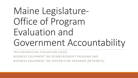# Maine Legislature-Office of Program Evaluation and Government Accountability

TAX EXPENDITURE EVALUATION (2020)

BUSINESS EQUIPMENT TAX REIMBURSEMENT PROGRAM AND

BUSINESS EQUIPMENT TAX EXPENDITURE PROGRAM (BETR/BETE)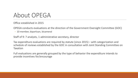## About OPEGA

Office established in 2015

OPEGA conducts evaluations at the direction of the Government Oversight Committee (GOC)

◦ 10 member, bipartisan, bicameral

Staff of 9: 7 analysts, 1 administrative secretary, director

Tax expenditure evaluations are required by statute (since 2015) – with categorization and schedule of reviews established by the GOC in consultation with Joint Standing Committee on **Taxation** 

Full evaluations are generally grouped by the type of behavior the expenditure intends to provide incentives for/encourage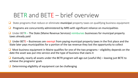## BETR and BETE – brief overview

- ❑ State programs that reduce or eliminate **municipa**l property taxes on qualifying business equipment
- ❑ Programs are concurrently administered by MRS with significant reliance on municipalities
- $\Box$  Under BETR The State (Maine Revenue Services) reimburses businesses for municipal property taxes already paid
- $\Box$  Under BETE Businesses are exempt from paying municipal property taxes in the first place and the State later pays municipalities for a portion of the tax revenue they lost the opportunity to collect
- Most business equipment in Maine qualifies for one of the two programs eligibility depends on the date the asset was put into service and the type of business that owns it
- ❑ Eventually, nearly all assets under the BETR program will age out (useful life) leaving just BETE to achieve the programs' goals
- Determining eligibility of equipment can be challenging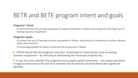## BETR and BETE program intent and goals

#### **Programs' intent:**

◦ to overcome the disincentive to growth of capital investment in Maine stemming from the high cost of owning business equipment

#### **Programs' goals:**

- to reduce the cost of owning business equipment in Maine, particularly in comparison to other relevant states and countries
- to encourage growth of capital investment by businesses in Maine
- ❑ OPEGA found that the programs met their shared goal of reducing the costs of owning business equipment – by reducing or eliminating the municipal property tax.
- $\Box$  It was less clear whether the programs encouraged capital investment any impact would be marginal evidenced by the fact that relatively few businesses received financially significant benefits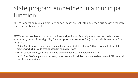## State program embedded in a municipal function

BETR's impacts on municipalities are minor – taxes are collected and then businesses deal with state for reimbursement

BETE's impact (reliance) on municipalities is significant. Municipality assesses the business equipment, determines eligibility for exemption and submits for (partial) reimbursement from the State.

- Maine Constitution requires state to reimburse municipalities at least 50% of revenue lost via state programs which provide credits based in municipal taxes
- BETE's statutory design allows for some enhancements to reimbursement rate
- In FY 18, 61% of the personal property taxes that municipalities could not collect due to BETE were paid back to municipalities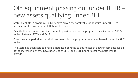## Old equipment phasing out under BETR – new assets qualifying under BETE

Statutory shifts in program eligibility have driven the total value of benefits under BETE to increase while those under BETR have decreased.

Despite the decrease, combined benefits provided under the programs have increased \$13.3 million between FY09 and FY18.

Over the same period, state reimbursements for the programs combined have dropped by \$9.7 million.

The State has been able to provide increased benefits to businesses at a lower cost because all of the increased benefits have been under BETE, and BETE benefits cost the State less to provide.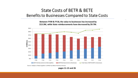### State Costs of BETR & BETE Benefits to Businesses Compared to State Costs

Between FY09 & FY18, the value to businesses has increased by \$13.3M, while State reimbursements have decreased by \$9.7M.



Source: Analysis of Data Supplied to OPEGA by Maine Revenue Services.

pages 11-13 and 26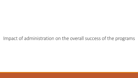### Impact of administration on the overall success of the programs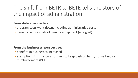## The shift from BETR to BETE tells the story of the impact of administration

### **From state's perspective:**

- program costs went down, including administrative costs
- benefits reduce costs of owning equipment (one goal)

### **From the businesses' perspective:**

- benefits to businesses increased
- exemption (BETE) allows business to keep cash on hand, no waiting for reimbursement (BETR)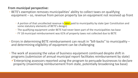### **From municipal perspective:**

- BETE's exemption removes municipalities' ability to collect taxes on qualifying equipment – so, revenue from person property tax on equipment not received up front
	- A portion of that uncollected revenue is later paid to municipality by state (per Constitution and some statutory elements of BETE's design)
	- The qualifying equipment under BETE had never been part of the municipalities tax base
	- FY 18 municipal reimbursement was 61% of property taxes not collected due to BETE
- Errors in determining BETE reimbursement can result in "bill-backs" to municipality and determining eligibility of equipment can be challenging
- The work of assessing the value of business equipment continued despite shift in programs (submission of annual municipal report facilitates reimbursement by state) ✓Enterprising assessors reported using the program to persuade businesses to declare property (maximizing reimbursement from state, potentially broadening tax base)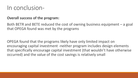## In conclusion-

### **Overall success of the program:**

Both BETR and BETE reduced the cost of owning business equipment – a goal that OPEGA found was met by the programs

OPEGA found that the programs likely have only limited impact on encouraging capital investment -neither program includes design elements that specifically encourage capital investment (that wouldn't have otherwise occurred) and the value of the cost savings is relatively small